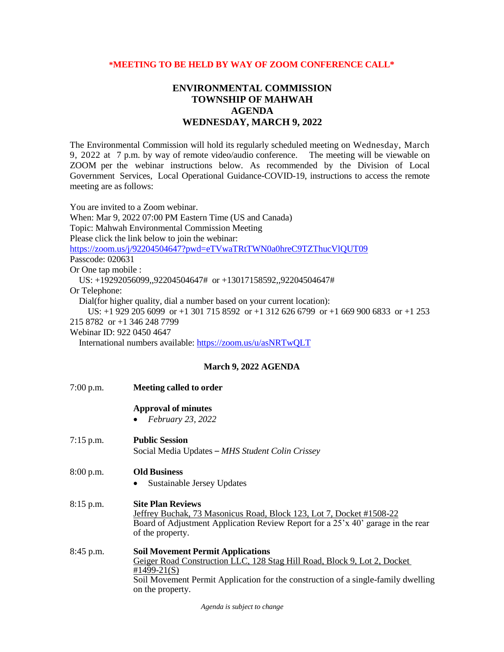## **\*MEETING TO BE HELD BY WAY OF ZOOM CONFERENCE CALL\***

## **ENVIRONMENTAL COMMISSION TOWNSHIP OF MAHWAH AGENDA WEDNESDAY, MARCH 9, 2022**

The Environmental Commission will hold its regularly scheduled meeting on Wednesday, March 9, 2022 at 7 p.m. by way of remote video/audio conference. The meeting will be viewable on ZOOM per the webinar instructions below. As recommended by the Division of Local Government Services, Local Operational Guidance-COVID-19, instructions to access the remote meeting are as follows:

You are invited to a Zoom webinar. When: Mar 9, 2022 07:00 PM Eastern Time (US and Canada) Topic: Mahwah Environmental Commission Meeting Please click the link below to join the webinar: <https://zoom.us/j/92204504647?pwd=eTVwaTRtTWN0a0hreC9TZThucVlQUT09> Passcode: 020631 Or One tap mobile : US: +19292056099,,92204504647# or +13017158592,,92204504647# Or Telephone: Dial(for higher quality, dial a number based on your current location): US: +1 929 205 6099 or +1 301 715 8592 or +1 312 626 6799 or +1 669 900 6833 or +1 253 215 8782 or +1 346 248 7799 Webinar ID: 922 0450 4647 International numbers available:<https://zoom.us/u/asNRTwQLT>

## **March 9, 2022 AGENDA**

| 7:00 p.m.   | <b>Meeting called to order</b>                                                                                                                                                                                                                  |
|-------------|-------------------------------------------------------------------------------------------------------------------------------------------------------------------------------------------------------------------------------------------------|
|             | <b>Approval of minutes</b><br>February 23, 2022                                                                                                                                                                                                 |
| $7:15$ p.m. | <b>Public Session</b><br>Social Media Updates – MHS Student Colin Crissey                                                                                                                                                                       |
| 8:00 p.m.   | <b>Old Business</b><br>Sustainable Jersey Updates                                                                                                                                                                                               |
| $8:15$ p.m. | <b>Site Plan Reviews</b><br>Jeffrey Buchak, 73 Masonicus Road, Block 123, Lot 7, Docket #1508-22<br>Board of Adjustment Application Review Report for a 25'x 40' garage in the rear<br>of the property.                                         |
| 8:45 p.m.   | <b>Soil Movement Permit Applications</b><br>Geiger Road Construction LLC, 128 Stag Hill Road, Block 9, Lot 2, Docket<br>#1499-21 $(S)$<br>Soil Movement Permit Application for the construction of a single-family dwelling<br>on the property. |

*Agenda is subject to change*